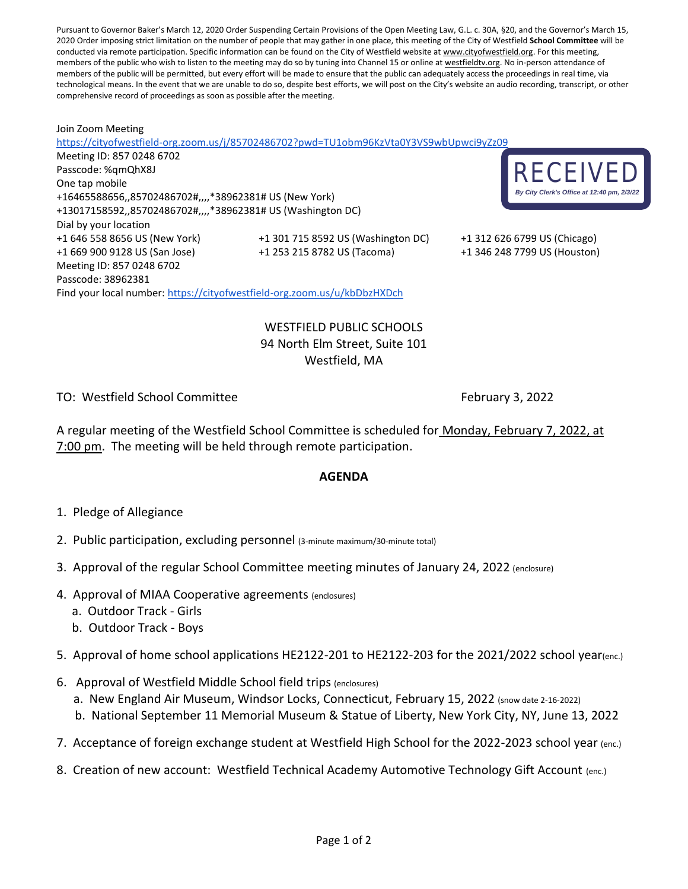Pursuant to Governor Baker's March 12, 2020 Order Suspending Certain Provisions of the Open Meeting Law, G.L. c. 30A, §20, and the Governor's March 15, 2020 Order imposing strict limitation on the number of people that may gather in one place, this meeting of the City of Westfield **School Committee** will be conducted via remote participation. Specific information can be found on the City of Westfield website at [www.cityofwestfield.org.](http://www.cityofwestfield.org/) For this meeting, members of the public who wish to listen to the meeting may do so by tuning into Channel 15 or online at [westfieldtv.org.](http://westfieldtv.org/) No in-person attendance of members of the public will be permitted, but every effort will be made to ensure that the public can adequately access the proceedings in real time, via technological means. In the event that we are unable to do so, despite best efforts, we will post on the City's website an audio recording, transcript, or other comprehensive record of proceedings as soon as possible after the meeting.

Join Zoom Meeting <https://cityofwestfield-org.zoom.us/j/85702486702?pwd=TU1obm96KzVta0Y3VS9wbUpwci9yZz09> Meeting ID: 857 0248 6702 Passcode: %qmQhX8J One tap mobile +16465588656,,85702486702#,,,,\*38962381# US (New York) +13017158592,,85702486702#,,,,\*38962381# US (Washington DC) Dial by your location +1 646 558 8656 US (New York) +1 301 715 8592 US (Washington DC) +1 312 626 6799 US (Chicago) +1 669 900 9128 US (San Jose) +1 253 215 8782 US (Tacoma) +1 346 248 7799 US (Houston) Meeting ID: 857 0248 6702 Passcode: 38962381 Find your local number: <https://cityofwestfield-org.zoom.us/u/kbDbzHXDch>



WESTFIELD PUBLIC SCHOOLS 94 North Elm Street, Suite 101 Westfield, MA

TO: Westfield School Committee The Committee Research Committee February 3, 2022

A regular meeting of the Westfield School Committee is scheduled for Monday, February 7, 2022, at 7:00 pm. The meeting will be held through remote participation.

## **AGENDA**

- 1. Pledge of Allegiance
- 2. Public participation, excluding personnel (3-minute maximum/30-minute total)
- 3. Approval of the regular School Committee meeting minutes of January 24, 2022 (enclosure)
- 4. Approval of MIAA Cooperative agreements (enclosures)
	- a. Outdoor Track Girls
	- b. Outdoor Track Boys

5. Approval of home school applications HE2122-201 to HE2122-203 for the 2021/2022 school year(enc.)

- 6. Approval of Westfield Middle School field trips (enclosures)
	- a. New England Air Museum, Windsor Locks, Connecticut, February 15, 2022 (snow date 2-16-2022)
	- b. National September 11 Memorial Museum & Statue of Liberty, New York City, NY, June 13, 2022
- 7. Acceptance of foreign exchange student at Westfield High School for the 2022-2023 school year (enc.)
- 8. Creation of new account: Westfield Technical Academy Automotive Technology Gift Account (enc.)